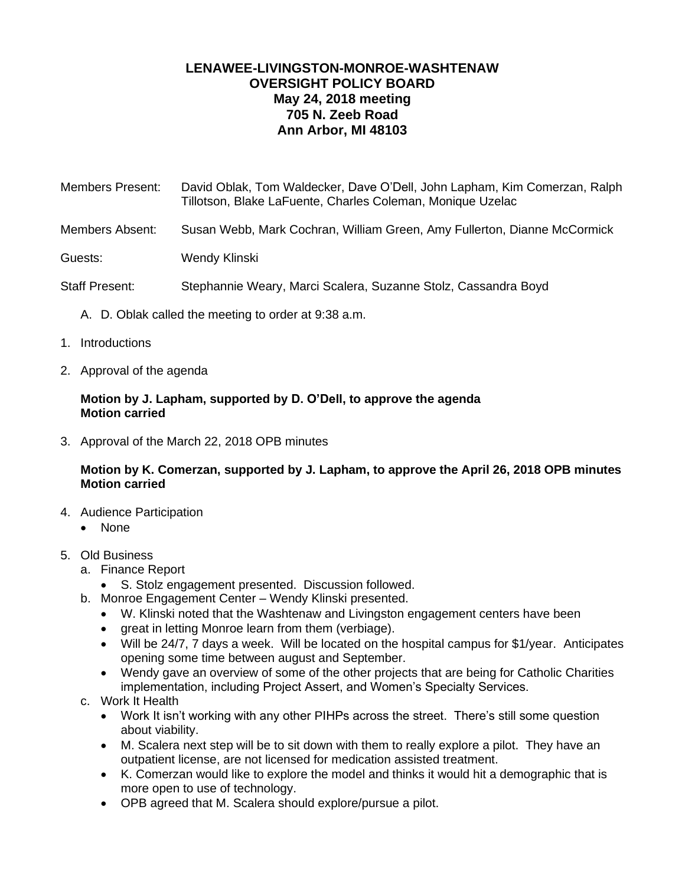# **LENAWEE-LIVINGSTON-MONROE-WASHTENAW OVERSIGHT POLICY BOARD May 24, 2018 meeting 705 N. Zeeb Road Ann Arbor, MI 48103**

- Members Present: David Oblak, Tom Waldecker, Dave O'Dell, John Lapham, Kim Comerzan, Ralph Tillotson, Blake LaFuente, Charles Coleman, Monique Uzelac
- Members Absent: Susan Webb, Mark Cochran, William Green, Amy Fullerton, Dianne McCormick
- Guests: Wendy Klinski

Staff Present: Stephannie Weary, Marci Scalera, Suzanne Stolz, Cassandra Boyd

- A. D. Oblak called the meeting to order at 9:38 a.m.
- 1. Introductions
- 2. Approval of the agenda

## **Motion by J. Lapham, supported by D. O'Dell, to approve the agenda Motion carried**

3. Approval of the March 22, 2018 OPB minutes

# **Motion by K. Comerzan, supported by J. Lapham, to approve the April 26, 2018 OPB minutes Motion carried**

- 4. Audience Participation
	- None
- 5. Old Business
	- a. Finance Report
		- S. Stolz engagement presented. Discussion followed.
	- b. Monroe Engagement Center Wendy Klinski presented.
		- W. Klinski noted that the Washtenaw and Livingston engagement centers have been
		- great in letting Monroe learn from them (verbiage).
		- Will be 24/7, 7 days a week. Will be located on the hospital campus for \$1/year. Anticipates opening some time between august and September.
		- Wendy gave an overview of some of the other projects that are being for Catholic Charities implementation, including Project Assert, and Women's Specialty Services.
	- c. Work It Health
		- Work It isn't working with any other PIHPs across the street. There's still some question about viability.
		- M. Scalera next step will be to sit down with them to really explore a pilot. They have an outpatient license, are not licensed for medication assisted treatment.
		- K. Comerzan would like to explore the model and thinks it would hit a demographic that is more open to use of technology.
		- OPB agreed that M. Scalera should explore/pursue a pilot.